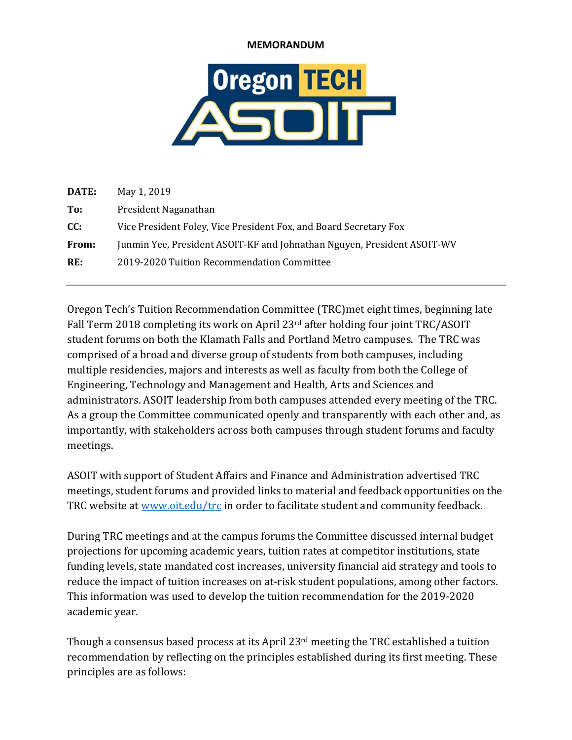## **MEMORANDUM**



| DATE: | May 1, 2019                                                             |
|-------|-------------------------------------------------------------------------|
| To:   | President Naganathan                                                    |
| CC:   | Vice President Foley, Vice President Fox, and Board Secretary Fox       |
| From: | Junmin Yee, President ASOIT-KF and Johnathan Nguyen, President ASOIT-WV |
| RE:   | 2019-2020 Tuition Recommendation Committee                              |
|       |                                                                         |

Oregon Tech's Tuition Recommendation Committee (TRC)met eight times, beginning late Fall Term 2018 completing its work on April  $23<sup>rd</sup>$  after holding four joint TRC/ASOIT student forums on both the Klamath Falls and Portland Metro campuses. The TRC was comprised of a broad and diverse group of students from both campuses, including multiple residencies, majors and interests as well as faculty from both the College of Engineering, Technology and Management and Health, Arts and Sciences and administrators. ASOIT leadership from both campuses attended every meeting of the TRC. As a group the Committee communicated openly and transparently with each other and, as importantly, with stakeholders across both campuses through student forums and faculty meetings. 

ASOIT with support of Student Affairs and Finance and Administration advertised TRC meetings, student forums and provided links to material and feedback opportunities on the TRC website at www.oit.edu/trc in order to facilitate student and community feedback.

During TRC meetings and at the campus forums the Committee discussed internal budget projections for upcoming academic years, tuition rates at competitor institutions, state funding levels, state mandated cost increases, university financial aid strategy and tools to reduce the impact of tuition increases on at-risk student populations, among other factors. This information was used to develop the tuition recommendation for the 2019-2020 academic year.

Though a consensus based process at its April  $23<sup>rd</sup>$  meeting the TRC established a tuition recommendation by reflecting on the principles established during its first meeting. These principles are as follows: